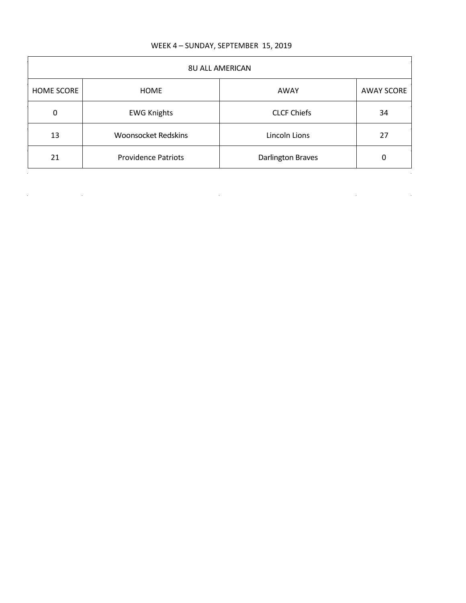| WEEK 4 - SUNDAY, SEPTEMBER 15, 2019 |  |  |  |
|-------------------------------------|--|--|--|
|-------------------------------------|--|--|--|

| <b>HOME SCORE</b> | HOME                       | AWAY               | <b>AWAY SCORE</b> |
|-------------------|----------------------------|--------------------|-------------------|
| $\pmb{0}$         | <b>EWG Knights</b>         | <b>CLCF Chiefs</b> | 34                |
| 13                | <b>Woonsocket Redskins</b> | Lincoln Lions      | 27                |
| 21                | <b>Providence Patriots</b> | Darlington Braves  | 0                 |

a de la construcción de la construcción de la construcción de la construcción de la construcción de la constru<br>En 1980, el construcción de la construcción de la construcción de la construcción de la construcción de la con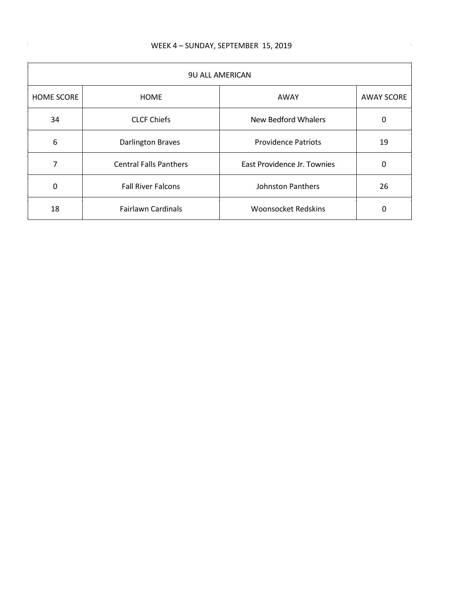$\sim$ 

| <b>9U ALL AMERICAN</b> |                               |                             |                   |
|------------------------|-------------------------------|-----------------------------|-------------------|
| <b>HOME SCORE</b>      | <b>HOME</b>                   | AWAY                        | <b>AWAY SCORE</b> |
| 34                     | <b>CLCF Chiefs</b>            | New Bedford Whalers         | 0                 |
| 6                      | <b>Darlington Braves</b>      | <b>Providence Patriots</b>  | 19                |
| 7                      | <b>Central Falls Panthers</b> | East Providence Jr. Townies | 0                 |
| 0                      | <b>Fall River Falcons</b>     | <b>Johnston Panthers</b>    | 26                |
| 18                     | <b>Fairlawn Cardinals</b>     | <b>Woonsocket Redskins</b>  | 0                 |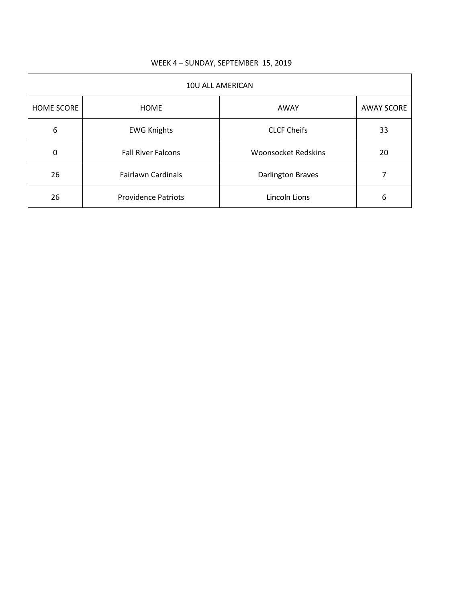| 10U ALL AMERICAN  |                            |                            |                   |
|-------------------|----------------------------|----------------------------|-------------------|
| <b>HOME SCORE</b> | <b>HOME</b>                | AWAY                       | <b>AWAY SCORE</b> |
| 6                 | <b>EWG Knights</b>         | <b>CLCF Cheifs</b>         | 33                |
| 0                 | <b>Fall River Falcons</b>  | <b>Woonsocket Redskins</b> | 20                |
| 26                | <b>Fairlawn Cardinals</b>  | <b>Darlington Braves</b>   |                   |
| 26                | <b>Providence Patriots</b> | Lincoln Lions              | 6                 |

## WEEK 4 – SUNDAY, SEPTEMBER 15, 2019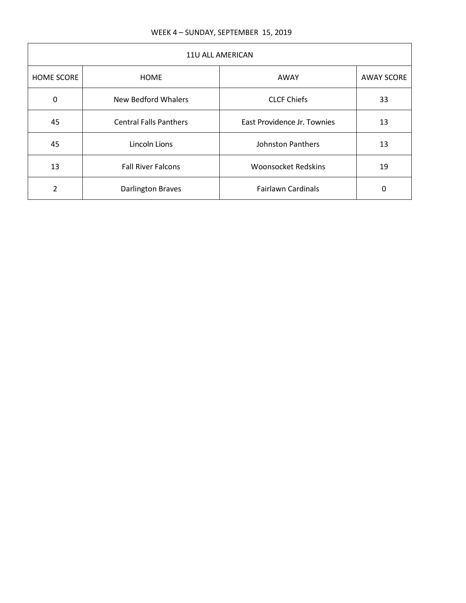| 11U ALL AMERICAN  |                               |                             |                   |
|-------------------|-------------------------------|-----------------------------|-------------------|
| <b>HOME SCORE</b> | <b>HOME</b>                   | AWAY                        | <b>AWAY SCORE</b> |
| 0                 | New Bedford Whalers           | <b>CLCF Chiefs</b>          | 33                |
| 45                | <b>Central Falls Panthers</b> | East Providence Jr. Townies | 13                |
| 45                | Lincoln Lions                 | <b>Johnston Panthers</b>    | 13                |
| 13                | <b>Fall River Falcons</b>     | <b>Woonsocket Redskins</b>  | 19                |
| $\mathfrak{p}$    | <b>Darlington Braves</b>      | <b>Fairlawn Cardinals</b>   | 0                 |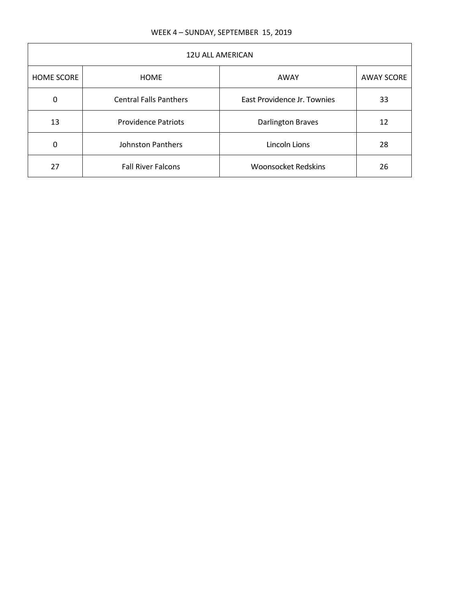| <b>12U ALL AMERICAN</b> |                               |                             |                   |
|-------------------------|-------------------------------|-----------------------------|-------------------|
| <b>HOME SCORE</b>       | <b>HOME</b>                   | AWAY                        | <b>AWAY SCORE</b> |
| 0                       | <b>Central Falls Panthers</b> | East Providence Jr. Townies | 33                |
| 13                      | <b>Providence Patriots</b>    | <b>Darlington Braves</b>    | 12                |
| $\Omega$                | <b>Johnston Panthers</b>      | Lincoln Lions               | 28                |
| 27                      | <b>Fall River Falcons</b>     | <b>Woonsocket Redskins</b>  | 26                |